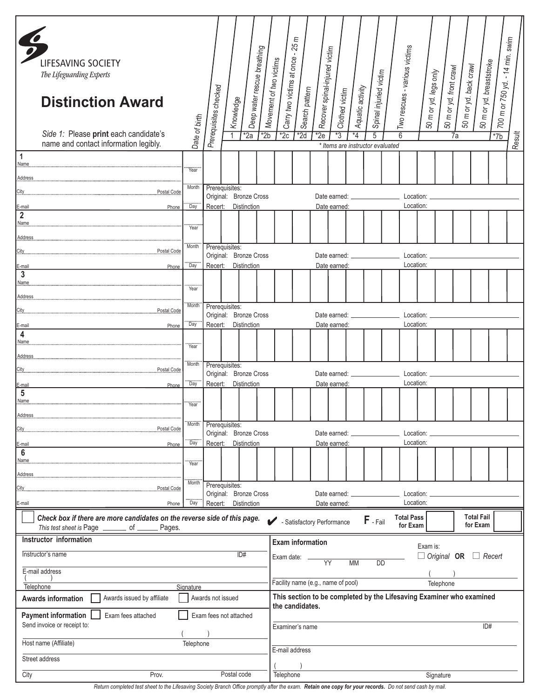| LIFESAVING SOCIETY<br>The Lifeguarding Experts<br><b>Distinction Award</b><br>Side 1: Please print each candidate's<br>name and contact information legibly. | Date of birth | Prerequisites checked                                                | Knowledge | $\overline{2a}$        | Deep water rescue breathing<br>Movement of two victims<br>$\overline{2b}$ | Carry two victims at once<br>$\overline{2c}$ | 25m<br>Search pattem<br>$*2d$                                           | Recover spinal-injured victim<br>$*2e$ | Clothed victim<br>*3 | Aquatic activity<br>*4 | Spinal injuried victim<br>5      |  | Two rescues - various victims<br>6 | 50 m or yd. legs only | 50 m or yd. front crawl | 50 m or yd. back crawl<br>7a | 50 m or yd. breaststroke      | 700 m or 750 yd. - 14 min. swim<br>$\overline{7b}$ | Result |
|--------------------------------------------------------------------------------------------------------------------------------------------------------------|---------------|----------------------------------------------------------------------|-----------|------------------------|---------------------------------------------------------------------------|----------------------------------------------|-------------------------------------------------------------------------|----------------------------------------|----------------------|------------------------|----------------------------------|--|------------------------------------|-----------------------|-------------------------|------------------------------|-------------------------------|----------------------------------------------------|--------|
| 1                                                                                                                                                            |               |                                                                      |           |                        |                                                                           |                                              |                                                                         |                                        |                      |                        | * Items are instructor evaluated |  |                                    |                       |                         |                              |                               |                                                    |        |
| Name                                                                                                                                                         | <br>Year      |                                                                      |           |                        |                                                                           |                                              |                                                                         |                                        |                      |                        |                                  |  |                                    |                       |                         |                              |                               |                                                    |        |
| Address.                                                                                                                                                     | Month         | Prerequisites:                                                       |           |                        |                                                                           |                                              |                                                                         |                                        |                      |                        |                                  |  |                                    |                       |                         |                              |                               |                                                    |        |
| Postal Code<br>City.                                                                                                                                         |               |                                                                      |           | Original: Bronze Cross |                                                                           |                                              |                                                                         |                                        |                      |                        |                                  |  | Location:                          |                       |                         |                              |                               |                                                    |        |
| E-mail<br>Phone<br>$\boldsymbol{2}$                                                                                                                          | <br>Day       | Recert:                                                              |           | <b>Distinction</b>     |                                                                           |                                              |                                                                         |                                        | Date earned:         |                        |                                  |  | Location:                          |                       |                         |                              |                               |                                                    |        |
| Name                                                                                                                                                         | Year          |                                                                      |           |                        |                                                                           |                                              |                                                                         |                                        |                      |                        |                                  |  |                                    |                       |                         |                              |                               |                                                    |        |
| Address                                                                                                                                                      | Month         | Prerequisites:                                                       |           |                        |                                                                           |                                              |                                                                         |                                        |                      |                        |                                  |  |                                    |                       |                         |                              |                               |                                                    |        |
| Postal Code<br>City.                                                                                                                                         |               |                                                                      |           | Original: Bronze Cross |                                                                           |                                              |                                                                         |                                        | Date earned: ___     |                        |                                  |  | Location:                          |                       |                         |                              |                               |                                                    |        |
| E-mail<br>Phone<br>$\mathbf{3}$                                                                                                                              | Day           | Recert:                                                              |           | <b>Distinction</b>     |                                                                           |                                              |                                                                         |                                        | Date earned:         |                        |                                  |  | Location:                          |                       |                         |                              |                               |                                                    |        |
| Name.                                                                                                                                                        | Year          |                                                                      |           |                        |                                                                           |                                              |                                                                         |                                        |                      |                        |                                  |  |                                    |                       |                         |                              |                               |                                                    |        |
| <b>Address</b>                                                                                                                                               | Month         |                                                                      |           |                        |                                                                           |                                              |                                                                         |                                        |                      |                        |                                  |  |                                    |                       |                         |                              |                               |                                                    |        |
| Postal Code<br>City.                                                                                                                                         |               | Prerequisites:                                                       |           | Original: Bronze Cross |                                                                           |                                              |                                                                         |                                        |                      |                        |                                  |  | Location:                          |                       |                         |                              |                               |                                                    |        |
| Phone<br>E-mail<br>$\overline{\mathbf{4}}$                                                                                                                   | Day           |                                                                      |           | Recert: Distinction    |                                                                           |                                              |                                                                         |                                        | Date earned:         |                        |                                  |  | Location:                          |                       |                         |                              |                               |                                                    |        |
| Name.                                                                                                                                                        | <br>'Year     |                                                                      |           |                        |                                                                           |                                              |                                                                         |                                        |                      |                        |                                  |  |                                    |                       |                         |                              |                               |                                                    |        |
| <b>Address</b>                                                                                                                                               | Month         |                                                                      |           |                        |                                                                           |                                              |                                                                         |                                        |                      |                        |                                  |  |                                    |                       |                         |                              |                               |                                                    |        |
| Postal Code<br>City.                                                                                                                                         |               | Prerequisites:                                                       |           | Original: Bronze Cross |                                                                           | Date earned: _____                           |                                                                         |                                        |                      |                        |                                  |  | Location:                          |                       |                         |                              |                               |                                                    |        |
| E-mail<br>Phone<br>5                                                                                                                                         | <br>Day       | Recert:                                                              |           | <b>Distinction</b>     |                                                                           |                                              |                                                                         |                                        | Date earned:         |                        |                                  |  | Location:                          |                       |                         |                              |                               |                                                    |        |
| Name                                                                                                                                                         | <br>Year      |                                                                      |           |                        |                                                                           |                                              |                                                                         |                                        |                      |                        |                                  |  |                                    |                       |                         |                              |                               |                                                    |        |
| Address.                                                                                                                                                     |               |                                                                      |           |                        |                                                                           |                                              |                                                                         |                                        |                      |                        |                                  |  |                                    |                       |                         |                              |                               |                                                    |        |
| Postal Code<br>City.                                                                                                                                         | Month         | Prerequisites:                                                       |           | Original: Bronze Cross |                                                                           |                                              |                                                                         |                                        | Date earned:         |                        |                                  |  | Location:                          |                       |                         |                              |                               |                                                    |        |
| Phone<br>E-mail                                                                                                                                              | <br>Day       | Recert:                                                              |           | Distinction            |                                                                           |                                              |                                                                         |                                        | Date earned:         |                        |                                  |  | Location:                          |                       |                         |                              |                               |                                                    |        |
| 6<br>Name                                                                                                                                                    | <br>'Year     |                                                                      |           |                        |                                                                           |                                              |                                                                         |                                        |                      |                        |                                  |  |                                    |                       |                         |                              |                               |                                                    |        |
| Address                                                                                                                                                      |               |                                                                      |           |                        |                                                                           |                                              |                                                                         |                                        |                      |                        |                                  |  |                                    |                       |                         |                              |                               |                                                    |        |
| Postal Code<br>City.                                                                                                                                         | Month         | Prerequisites:                                                       |           | Original: Bronze Cross |                                                                           |                                              |                                                                         |                                        | Date earned:         |                        |                                  |  | Location:                          |                       |                         |                              |                               |                                                    |        |
| Phone<br>E-mail                                                                                                                                              | <br>Day       | Recert:                                                              |           | Distinction            |                                                                           |                                              |                                                                         |                                        | Date earned:         |                        |                                  |  | Location:                          |                       |                         |                              |                               |                                                    |        |
| Check box if there are more candidates on the reverse side of this page.                                                                                     |               |                                                                      |           |                        |                                                                           |                                              | - Satisfactory Performance                                              |                                        |                      |                        | $F -$ Fail                       |  | <b>Total Pass</b><br>for Exam      |                       |                         |                              | <b>Total Fail</b><br>for Exam |                                                    |        |
| This test sheet is Page _______ of ______ Pages.<br>Instructor information                                                                                   |               |                                                                      |           |                        |                                                                           |                                              |                                                                         |                                        |                      |                        |                                  |  |                                    |                       |                         |                              |                               |                                                    |        |
| Instructor's name<br>ID#                                                                                                                                     |               |                                                                      |           |                        |                                                                           |                                              | <b>Exam information</b><br>Exam is:<br>$\Box$ Original OR $\Box$ Recert |                                        |                      |                        |                                  |  |                                    |                       |                         |                              |                               |                                                    |        |
|                                                                                                                                                              |               |                                                                      |           |                        |                                                                           |                                              | Exam date: _<br><b>YY</b><br><b>MM</b><br><b>DD</b>                     |                                        |                      |                        |                                  |  |                                    |                       |                         |                              |                               |                                                    |        |
| E-mail address<br>Signature                                                                                                                                  |               |                                                                      |           |                        |                                                                           |                                              | Facility name (e.g., name of pool)<br>Telephone                         |                                        |                      |                        |                                  |  |                                    |                       |                         |                              |                               |                                                    |        |
| Telephone<br>Awards issued by affiliate<br><b>Awards information</b>                                                                                         |               | This section to be completed by the Lifesaving Examiner who examined |           |                        |                                                                           |                                              |                                                                         |                                        |                      |                        |                                  |  |                                    |                       |                         |                              |                               |                                                    |        |
|                                                                                                                                                              |               | Awards not issued                                                    |           |                        |                                                                           | the candidates.                              |                                                                         |                                        |                      |                        |                                  |  |                                    |                       |                         |                              |                               |                                                    |        |
| <b>Payment information</b><br>Exam fees attached<br>Send invoice or receipt to:                                                                              |               | Exam fees not attached                                               |           |                        |                                                                           | ID#<br>Examiner's name                       |                                                                         |                                        |                      |                        |                                  |  |                                    |                       |                         |                              |                               |                                                    |        |
| Host name (Affiliate)                                                                                                                                        | Telephone     |                                                                      |           |                        |                                                                           |                                              |                                                                         |                                        |                      |                        |                                  |  |                                    |                       |                         |                              |                               |                                                    |        |
|                                                                                                                                                              |               |                                                                      |           |                        |                                                                           | E-mail address                               |                                                                         |                                        |                      |                        |                                  |  |                                    |                       |                         |                              |                               |                                                    |        |
| Street address                                                                                                                                               |               |                                                                      |           |                        |                                                                           |                                              |                                                                         |                                        |                      |                        |                                  |  |                                    |                       |                         |                              |                               |                                                    |        |
| City<br>Prov.                                                                                                                                                |               |                                                                      |           | Postal code            |                                                                           | Telephone                                    |                                                                         |                                        |                      |                        |                                  |  |                                    |                       | Signature               |                              |                               |                                                    |        |